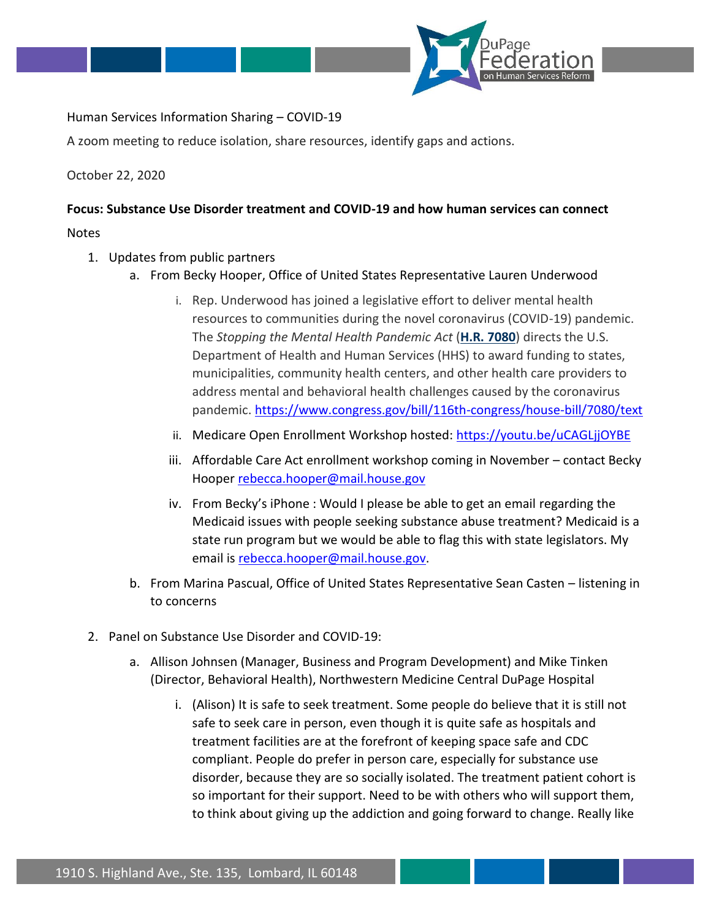

Human Services Information Sharing – COVID-19

A zoom meeting to reduce isolation, share resources, identify gaps and actions.

October 22, 2020

## **Focus: Substance Use Disorder treatment and COVID-19 and how human services can connect**

Notes

- 1. Updates from public partners
	- a. From Becky Hooper, Office of United States Representative Lauren Underwood
		- i. Rep. Underwood has joined a legislative effort to deliver mental health resources to communities during the novel coronavirus (COVID-19) pandemic. The *Stopping the Mental Health Pandemic Act* (**[H.R. 7080](https://www.congress.gov/bill/116th-congress/house-bill/7080?r=2&s=2)**) directs the U.S. Department of Health and Human Services (HHS) to award funding to states, municipalities, community health centers, and other health care providers to address mental and behavioral health challenges caused by the coronavirus pandemic.<https://www.congress.gov/bill/116th-congress/house-bill/7080/text>
		- ii. Medicare Open Enrollment Workshop hosted:<https://youtu.be/uCAGLjjOYBE>
		- iii. Affordable Care Act enrollment workshop coming in November contact Becky Hooper [rebecca.hooper@mail.house.gov](mailto:rebecca.hooper@mail.house.gov)
		- iv. From Becky's iPhone : Would I please be able to get an email regarding the Medicaid issues with people seeking substance abuse treatment? Medicaid is a state run program but we would be able to flag this with state legislators. My email is [rebecca.hooper@mail.house.gov.](mailto:rebecca.hooper@mail.house.gov)
	- b. From Marina Pascual, Office of United States Representative Sean Casten listening in to concerns
- 2. Panel on Substance Use Disorder and COVID-19:
	- a. Allison Johnsen (Manager, Business and Program Development) and Mike Tinken (Director, Behavioral Health), Northwestern Medicine Central DuPage Hospital
		- i. (Alison) It is safe to seek treatment. Some people do believe that it is still not safe to seek care in person, even though it is quite safe as hospitals and treatment facilities are at the forefront of keeping space safe and CDC compliant. People do prefer in person care, especially for substance use disorder, because they are so socially isolated. The treatment patient cohort is so important for their support. Need to be with others who will support them, to think about giving up the addiction and going forward to change. Really like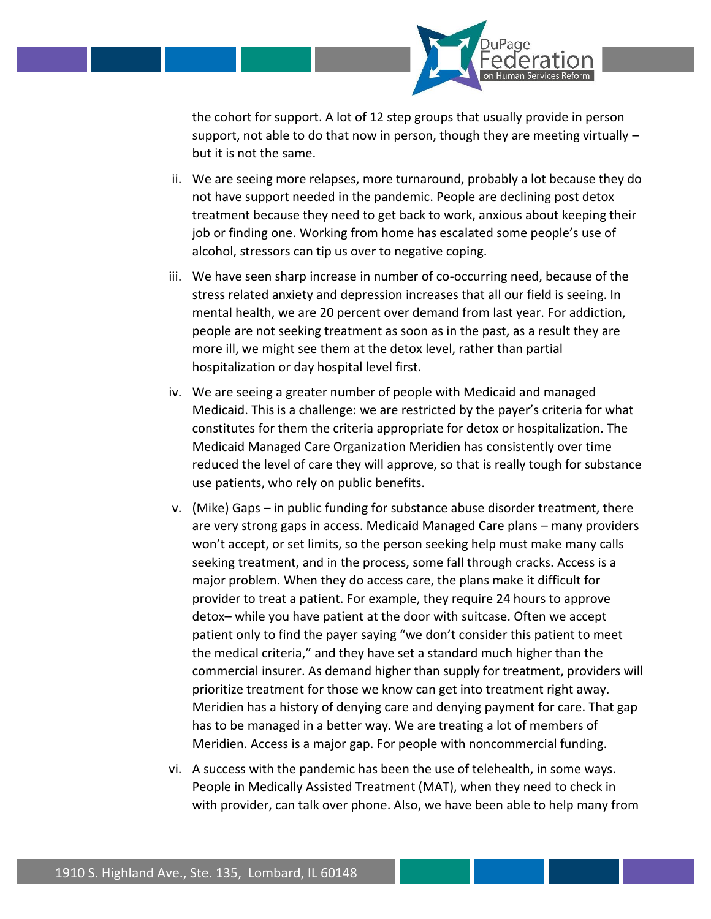

the cohort for support. A lot of 12 step groups that usually provide in person support, not able to do that now in person, though they are meeting virtually  $$ but it is not the same.

- ii. We are seeing more relapses, more turnaround, probably a lot because they do not have support needed in the pandemic. People are declining post detox treatment because they need to get back to work, anxious about keeping their job or finding one. Working from home has escalated some people's use of alcohol, stressors can tip us over to negative coping.
- iii. We have seen sharp increase in number of co-occurring need, because of the stress related anxiety and depression increases that all our field is seeing. In mental health, we are 20 percent over demand from last year. For addiction, people are not seeking treatment as soon as in the past, as a result they are more ill, we might see them at the detox level, rather than partial hospitalization or day hospital level first.
- iv. We are seeing a greater number of people with Medicaid and managed Medicaid. This is a challenge: we are restricted by the payer's criteria for what constitutes for them the criteria appropriate for detox or hospitalization. The Medicaid Managed Care Organization Meridien has consistently over time reduced the level of care they will approve, so that is really tough for substance use patients, who rely on public benefits.
- v. (Mike) Gaps in public funding for substance abuse disorder treatment, there are very strong gaps in access. Medicaid Managed Care plans – many providers won't accept, or set limits, so the person seeking help must make many calls seeking treatment, and in the process, some fall through cracks. Access is a major problem. When they do access care, the plans make it difficult for provider to treat a patient. For example, they require 24 hours to approve detox– while you have patient at the door with suitcase. Often we accept patient only to find the payer saying "we don't consider this patient to meet the medical criteria," and they have set a standard much higher than the commercial insurer. As demand higher than supply for treatment, providers will prioritize treatment for those we know can get into treatment right away. Meridien has a history of denying care and denying payment for care. That gap has to be managed in a better way. We are treating a lot of members of Meridien. Access is a major gap. For people with noncommercial funding.
- vi. A success with the pandemic has been the use of telehealth, in some ways. People in Medically Assisted Treatment (MAT), when they need to check in with provider, can talk over phone. Also, we have been able to help many from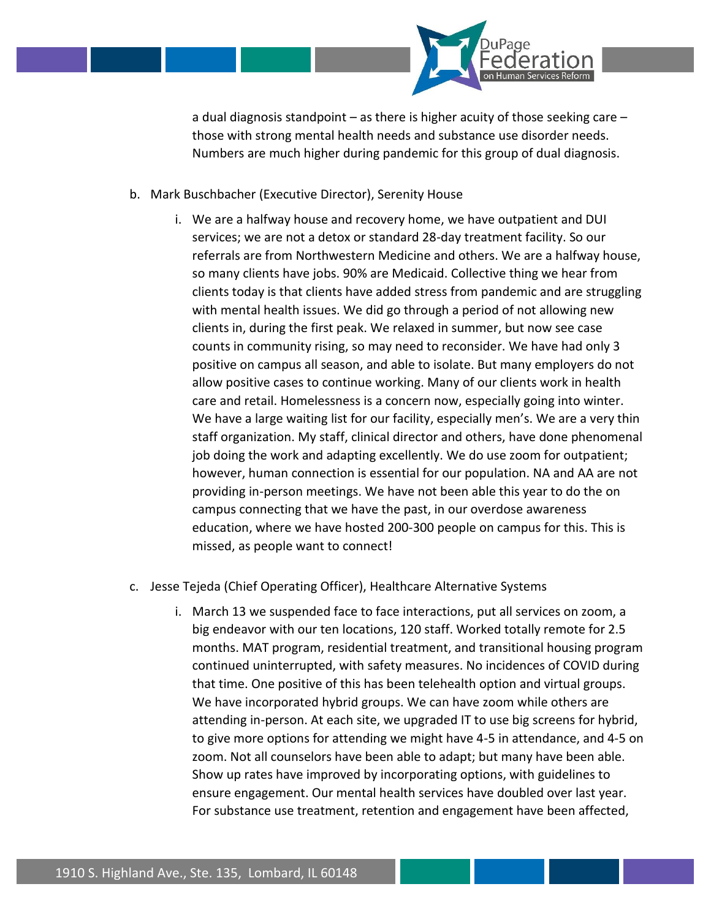

a dual diagnosis standpoint – as there is higher acuity of those seeking care – those with strong mental health needs and substance use disorder needs. Numbers are much higher during pandemic for this group of dual diagnosis.

- b. Mark Buschbacher (Executive Director), Serenity House
	- i. We are a halfway house and recovery home, we have outpatient and DUI services; we are not a detox or standard 28-day treatment facility. So our referrals are from Northwestern Medicine and others. We are a halfway house, so many clients have jobs. 90% are Medicaid. Collective thing we hear from clients today is that clients have added stress from pandemic and are struggling with mental health issues. We did go through a period of not allowing new clients in, during the first peak. We relaxed in summer, but now see case counts in community rising, so may need to reconsider. We have had only 3 positive on campus all season, and able to isolate. But many employers do not allow positive cases to continue working. Many of our clients work in health care and retail. Homelessness is a concern now, especially going into winter. We have a large waiting list for our facility, especially men's. We are a very thin staff organization. My staff, clinical director and others, have done phenomenal job doing the work and adapting excellently. We do use zoom for outpatient; however, human connection is essential for our population. NA and AA are not providing in-person meetings. We have not been able this year to do the on campus connecting that we have the past, in our overdose awareness education, where we have hosted 200-300 people on campus for this. This is missed, as people want to connect!
- c. Jesse Tejeda (Chief Operating Officer), Healthcare Alternative Systems
	- i. March 13 we suspended face to face interactions, put all services on zoom, a big endeavor with our ten locations, 120 staff. Worked totally remote for 2.5 months. MAT program, residential treatment, and transitional housing program continued uninterrupted, with safety measures. No incidences of COVID during that time. One positive of this has been telehealth option and virtual groups. We have incorporated hybrid groups. We can have zoom while others are attending in-person. At each site, we upgraded IT to use big screens for hybrid, to give more options for attending we might have 4-5 in attendance, and 4-5 on zoom. Not all counselors have been able to adapt; but many have been able. Show up rates have improved by incorporating options, with guidelines to ensure engagement. Our mental health services have doubled over last year. For substance use treatment, retention and engagement have been affected,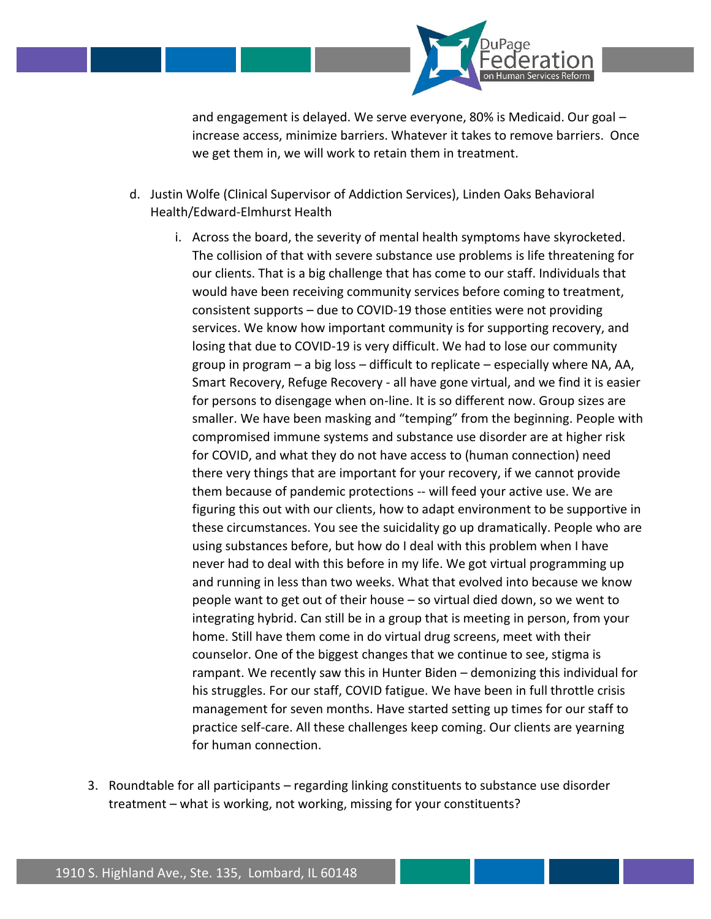

and engagement is delayed. We serve everyone, 80% is Medicaid. Our goal – increase access, minimize barriers. Whatever it takes to remove barriers. Once we get them in, we will work to retain them in treatment.

- d. Justin Wolfe (Clinical Supervisor of Addiction Services), Linden Oaks Behavioral Health/Edward-Elmhurst Health
	- i. Across the board, the severity of mental health symptoms have skyrocketed. The collision of that with severe substance use problems is life threatening for our clients. That is a big challenge that has come to our staff. Individuals that would have been receiving community services before coming to treatment, consistent supports – due to COVID-19 those entities were not providing services. We know how important community is for supporting recovery, and losing that due to COVID-19 is very difficult. We had to lose our community group in program – a big loss – difficult to replicate – especially where NA, AA, Smart Recovery, Refuge Recovery - all have gone virtual, and we find it is easier for persons to disengage when on-line. It is so different now. Group sizes are smaller. We have been masking and "temping" from the beginning. People with compromised immune systems and substance use disorder are at higher risk for COVID, and what they do not have access to (human connection) need there very things that are important for your recovery, if we cannot provide them because of pandemic protections -- will feed your active use. We are figuring this out with our clients, how to adapt environment to be supportive in these circumstances. You see the suicidality go up dramatically. People who are using substances before, but how do I deal with this problem when I have never had to deal with this before in my life. We got virtual programming up and running in less than two weeks. What that evolved into because we know people want to get out of their house – so virtual died down, so we went to integrating hybrid. Can still be in a group that is meeting in person, from your home. Still have them come in do virtual drug screens, meet with their counselor. One of the biggest changes that we continue to see, stigma is rampant. We recently saw this in Hunter Biden – demonizing this individual for his struggles. For our staff, COVID fatigue. We have been in full throttle crisis management for seven months. Have started setting up times for our staff to practice self-care. All these challenges keep coming. Our clients are yearning for human connection.
- 3. Roundtable for all participants regarding linking constituents to substance use disorder treatment – what is working, not working, missing for your constituents?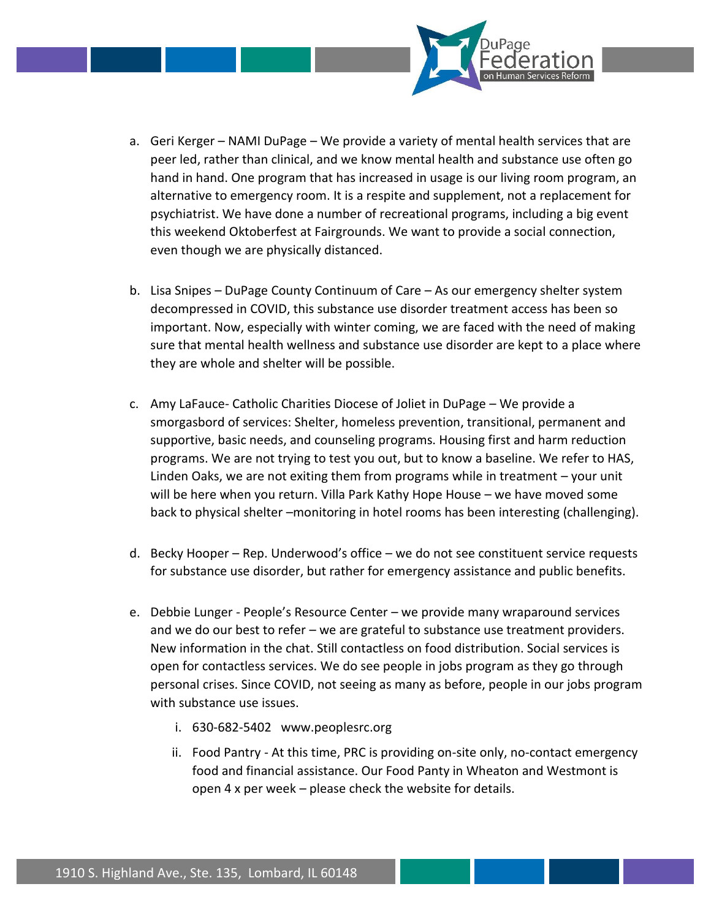

- a. Geri Kerger NAMI DuPage We provide a variety of mental health services that are peer led, rather than clinical, and we know mental health and substance use often go hand in hand. One program that has increased in usage is our living room program, an alternative to emergency room. It is a respite and supplement, not a replacement for psychiatrist. We have done a number of recreational programs, including a big event this weekend Oktoberfest at Fairgrounds. We want to provide a social connection, even though we are physically distanced.
- b. Lisa Snipes DuPage County Continuum of Care As our emergency shelter system decompressed in COVID, this substance use disorder treatment access has been so important. Now, especially with winter coming, we are faced with the need of making sure that mental health wellness and substance use disorder are kept to a place where they are whole and shelter will be possible.
- c. Amy LaFauce- Catholic Charities Diocese of Joliet in DuPage We provide a smorgasbord of services: Shelter, homeless prevention, transitional, permanent and supportive, basic needs, and counseling programs. Housing first and harm reduction programs. We are not trying to test you out, but to know a baseline. We refer to HAS, Linden Oaks, we are not exiting them from programs while in treatment – your unit will be here when you return. Villa Park Kathy Hope House – we have moved some back to physical shelter –monitoring in hotel rooms has been interesting (challenging).
- d. Becky Hooper Rep. Underwood's office we do not see constituent service requests for substance use disorder, but rather for emergency assistance and public benefits.
- e. Debbie Lunger People's Resource Center we provide many wraparound services and we do our best to refer – we are grateful to substance use treatment providers. New information in the chat. Still contactless on food distribution. Social services is open for contactless services. We do see people in jobs program as they go through personal crises. Since COVID, not seeing as many as before, people in our jobs program with substance use issues.
	- i. 630-682-5402 www.peoplesrc.org
	- ii. Food Pantry At this time, PRC is providing on-site only, no-contact emergency food and financial assistance. Our Food Panty in Wheaton and Westmont is open 4 x per week – please check the website for details.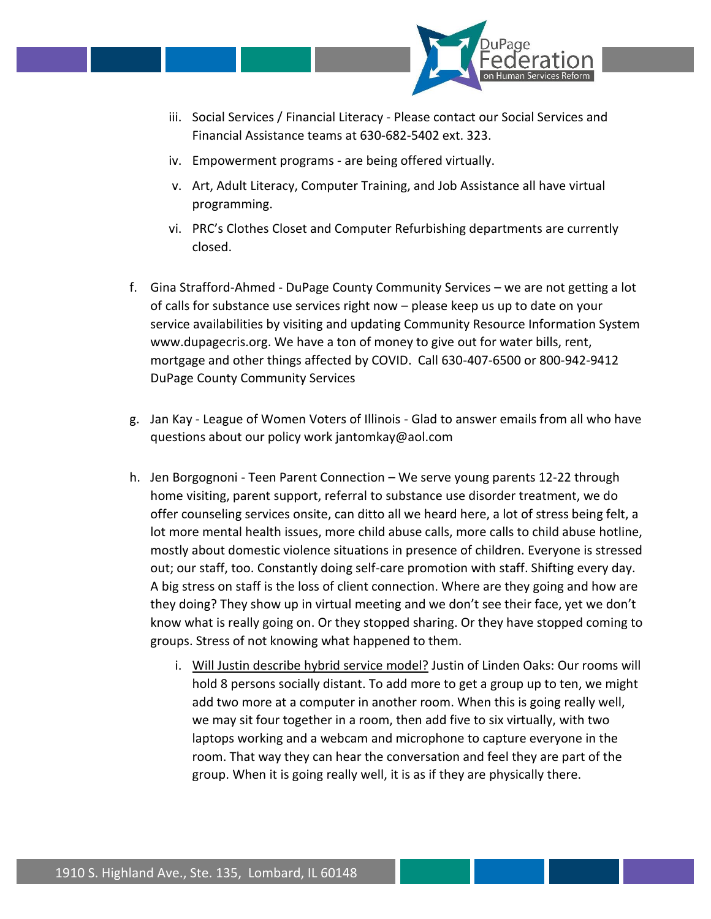

- iii. Social Services / Financial Literacy Please contact our Social Services and Financial Assistance teams at 630-682-5402 ext. 323.
- iv. Empowerment programs are being offered virtually.
- v. Art, Adult Literacy, Computer Training, and Job Assistance all have virtual programming.
- vi. PRC's Clothes Closet and Computer Refurbishing departments are currently closed.
- f. Gina Strafford-Ahmed DuPage County Community Services we are not getting a lot of calls for substance use services right now – please keep us up to date on your service availabilities by visiting and updating Community Resource Information System www.dupagecris.org. We have a ton of money to give out for water bills, rent, mortgage and other things affected by COVID. Call 630-407-6500 or 800-942-9412 DuPage County Community Services
- g. Jan Kay League of Women Voters of Illinois Glad to answer emails from all who have questions about our policy work jantomkay@aol.com
- h. Jen Borgognoni Teen Parent Connection We serve young parents 12-22 through home visiting, parent support, referral to substance use disorder treatment, we do offer counseling services onsite, can ditto all we heard here, a lot of stress being felt, a lot more mental health issues, more child abuse calls, more calls to child abuse hotline, mostly about domestic violence situations in presence of children. Everyone is stressed out; our staff, too. Constantly doing self-care promotion with staff. Shifting every day. A big stress on staff is the loss of client connection. Where are they going and how are they doing? They show up in virtual meeting and we don't see their face, yet we don't know what is really going on. Or they stopped sharing. Or they have stopped coming to groups. Stress of not knowing what happened to them.
	- i. Will Justin describe hybrid service model? Justin of Linden Oaks: Our rooms will hold 8 persons socially distant. To add more to get a group up to ten, we might add two more at a computer in another room. When this is going really well, we may sit four together in a room, then add five to six virtually, with two laptops working and a webcam and microphone to capture everyone in the room. That way they can hear the conversation and feel they are part of the group. When it is going really well, it is as if they are physically there.